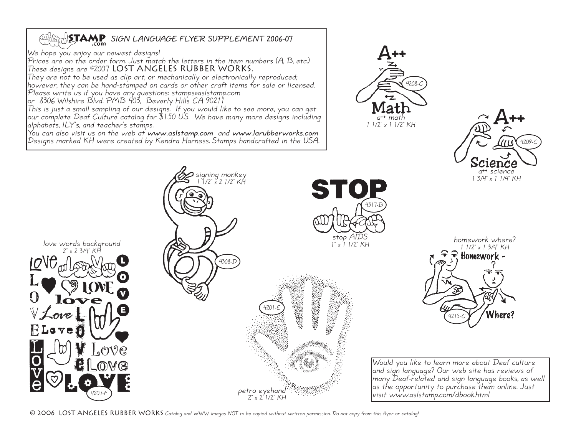## **EXAMPLE SIGN LANGUAGE FLYER SUPPLEMENT 2006-07**

We hope you enjoy our newest designs!

Prices are on the order form. Just match the letters in the item numbers  $(A, B, etc.)$ These designs are ©2007 LOST ANGELES RUBBER WORKS.<br>They are not to be used as clip art, or mechanically or electronically reproduced;

however, they can be hand-stamped on cards or other craft items for sale or licensed.<br>Please write us if you have any questions: stamps@aslstamp.com<br>or 8306 Wilshire Blvd. PMB 403, Beverly Hills CA 90211

This is just a small sampling of our designs. If you would like to see more, you can get<br>our complete Deaf Culture catalog for \$1.50 U.S. We have many more designs including alphabets, ILY's, and teacher's stamps. You can also visit us on the web at **www.aslstamp.com** and **www.larubberworks.com**

Designs marked KH were created by Kendra Harness. Stamps handcrafted in the USA.





1 3/4" x 1 1/4" KH



© 2006 LOST ANGELES RUBBER WORKS Catalog and WWW images NOT to be copied without written permission. Do not copy from this flyer or catalog!